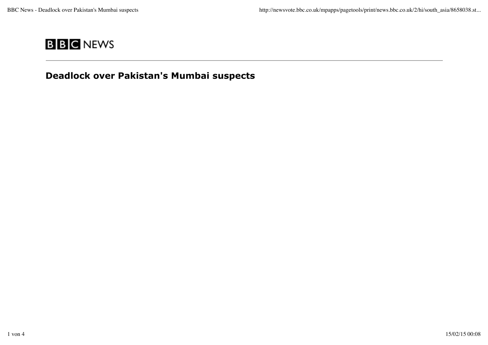

# **Deadlock over Pakistan's Mumbai suspects**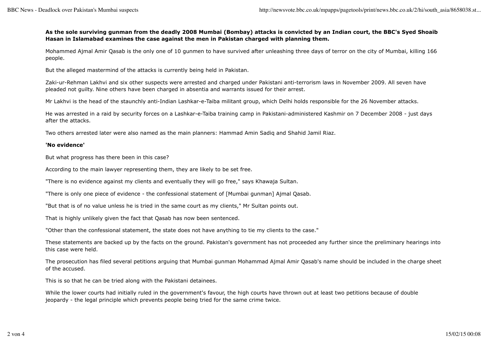## **As the sole surviving gunman from the deadly 2008 Mumbai (Bombay) attacks is convicted by an Indian court, the BBC's Syed Shoaib Hasan in Islamabad examines the case against the men in Pakistan charged with planning them.**

Mohammed Ajmal Amir Qasab is the only one of 10 gunmen to have survived after unleashing three days of terror on the city of Mumbai, killing 166 people.

But the alleged mastermind of the attacks is currently being held in Pakistan.

Zaki-ur-Rehman Lakhvi and six other suspects were arrested and charged under Pakistani anti-terrorism laws in November 2009. All seven have pleaded not guilty. Nine others have been charged in absentia and warrants issued for their arrest.

Mr Lakhvi is the head of the staunchly anti-Indian Lashkar-e-Taiba militant group, which Delhi holds responsible for the 26 November attacks.

He was arrested in a raid by security forces on a Lashkar-e-Taiba training camp in Pakistani-administered Kashmir on 7 December 2008 - just days after the attacks.

Two others arrested later were also named as the main planners: Hammad Amin Sadiq and Shahid Jamil Riaz.

### **'No evidence'**

But what progress has there been in this case?

According to the main lawyer representing them, they are likely to be set free.

"There is no evidence against my clients and eventually they will go free," says Khawaja Sultan.

"There is only one piece of evidence - the confessional statement of [Mumbai gunman] Ajmal Qasab.

"But that is of no value unless he is tried in the same court as my clients," Mr Sultan points out.

That is highly unlikely given the fact that Qasab has now been sentenced.

"Other than the confessional statement, the state does not have anything to tie my clients to the case."

These statements are backed up by the facts on the ground. Pakistan's government has not proceeded any further since the preliminary hearings into this case were held.

The prosecution has filed several petitions arguing that Mumbai gunman Mohammad Ajmal Amir Qasab's name should be included in the charge sheet of the accused.

This is so that he can be tried along with the Pakistani detainees.

While the lower courts had initially ruled in the government's favour, the high courts have thrown out at least two petitions because of double jeopardy - the legal principle which prevents people being tried for the same crime twice.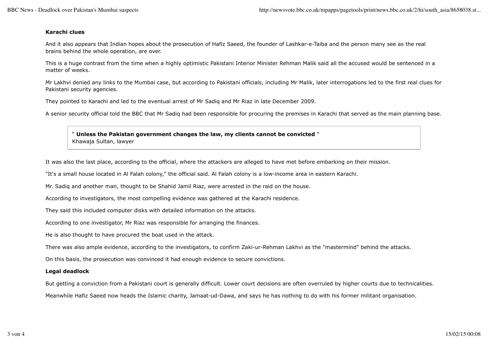### **Karachi clues**

And it also appears that Indian hopes about the prosecution of Hafiz Saeed, the founder of Lashkar-e-Taiba and the person many see as the real brains behind the whole operation, are over.

This is a huge contrast from the time when a highly optimistic Pakistani Interior Minister Rehman Malik said all the accused would be sentenced in a matter of weeks.

Mr Lakhvi denied any links to the Mumbai case, but according to Pakistani officials, including Mr Malik, later interrogations led to the first real clues for Pakistani security agencies.

They pointed to Karachi and led to the eventual arrest of Mr Sadiq and Mr Riaz in late December 2009.

A senior security official told the BBC that Mr Sadiq had been responsible for procuring the premises in Karachi that served as the main planning base.

" **Unless the Pakistan government changes the law, my clients cannot be convicted** " Khawaja Sultan, lawyer

It was also the last place, according to the official, where the attackers are alleged to have met before embarking on their mission.

"It's a small house located in Al Falah colony," the official said. Al Falah colony is a low-income area in eastern Karachi.

Mr. Sadiq and another man, thought to be Shahid Jamil Riaz, were arrested in the raid on the house.

According to investigators, the most compelling evidence was gathered at the Karachi residence.

They said this included computer disks with detailed information on the attacks.

According to one investigator, Mr Riaz was responsible for arranging the finances.

He is also thought to have procured the boat used in the attack.

There was also ample evidence, according to the investigators, to confirm Zaki-ur-Rehman Lakhvi as the "mastermind" behind the attacks.

On this basis, the prosecution was convinced it had enough evidence to secure convictions.

## **Legal deadlock**

But getting a conviction from a Pakistani court is generally difficult. Lower court decisions are often overruled by higher courts due to technicalities.

Meanwhile Hafiz Saeed now heads the Islamic charity, Jamaat-ud-Dawa, and says he has nothing to do with his former militant organisation.